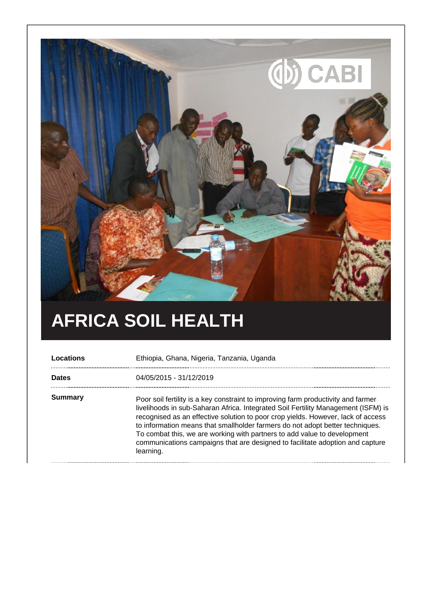

## **AFRICA SOIL HEALTH**

| Locations    | Ethiopia, Ghana, Nigeria, Tanzania, Uganda                                                                                                                                                                                                                                                                                                                                                                                                                                                                            |
|--------------|-----------------------------------------------------------------------------------------------------------------------------------------------------------------------------------------------------------------------------------------------------------------------------------------------------------------------------------------------------------------------------------------------------------------------------------------------------------------------------------------------------------------------|
| <b>Dates</b> | 04/05/2015 - 31/12/2019                                                                                                                                                                                                                                                                                                                                                                                                                                                                                               |
| Summary      | Poor soil fertility is a key constraint to improving farm productivity and farmer<br>livelihoods in sub-Saharan Africa. Integrated Soil Fertility Management (ISFM) is<br>recognised as an effective solution to poor crop yields. However, lack of access<br>to information means that smallholder farmers do not adopt better techniques.<br>To combat this, we are working with partners to add value to development<br>communications campaigns that are designed to facilitate adoption and capture<br>learning. |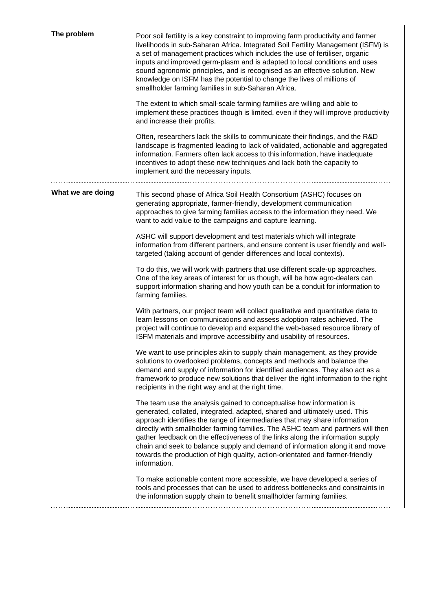| The problem       | Poor soil fertility is a key constraint to improving farm productivity and farmer<br>livelihoods in sub-Saharan Africa. Integrated Soil Fertility Management (ISFM) is<br>a set of management practices which includes the use of fertiliser, organic<br>inputs and improved germ-plasm and is adapted to local conditions and uses<br>sound agronomic principles, and is recognised as an effective solution. New<br>knowledge on ISFM has the potential to change the lives of millions of<br>smallholder farming families in sub-Saharan Africa.                                     |
|-------------------|-----------------------------------------------------------------------------------------------------------------------------------------------------------------------------------------------------------------------------------------------------------------------------------------------------------------------------------------------------------------------------------------------------------------------------------------------------------------------------------------------------------------------------------------------------------------------------------------|
|                   | The extent to which small-scale farming families are willing and able to<br>implement these practices though is limited, even if they will improve productivity<br>and increase their profits.                                                                                                                                                                                                                                                                                                                                                                                          |
|                   | Often, researchers lack the skills to communicate their findings, and the R&D<br>landscape is fragmented leading to lack of validated, actionable and aggregated<br>information. Farmers often lack access to this information, have inadequate<br>incentives to adopt these new techniques and lack both the capacity to<br>implement and the necessary inputs.                                                                                                                                                                                                                        |
| What we are doing | This second phase of Africa Soil Health Consortium (ASHC) focuses on<br>generating appropriate, farmer-friendly, development communication<br>approaches to give farming families access to the information they need. We<br>want to add value to the campaigns and capture learning.                                                                                                                                                                                                                                                                                                   |
|                   | ASHC will support development and test materials which will integrate<br>information from different partners, and ensure content is user friendly and well-<br>targeted (taking account of gender differences and local contexts).                                                                                                                                                                                                                                                                                                                                                      |
|                   | To do this, we will work with partners that use different scale-up approaches.<br>One of the key areas of interest for us though, will be how agro-dealers can<br>support information sharing and how youth can be a conduit for information to<br>farming families.                                                                                                                                                                                                                                                                                                                    |
|                   | With partners, our project team will collect qualitative and quantitative data to<br>learn lessons on communications and assess adoption rates achieved. The<br>project will continue to develop and expand the web-based resource library of<br>ISFM materials and improve accessibility and usability of resources.                                                                                                                                                                                                                                                                   |
|                   | We want to use principles akin to supply chain management, as they provide<br>solutions to overlooked problems, concepts and methods and balance the<br>demand and supply of information for identified audiences. They also act as a<br>framework to produce new solutions that deliver the right information to the right<br>recipients in the right way and at the right time.                                                                                                                                                                                                       |
|                   | The team use the analysis gained to conceptualise how information is<br>generated, collated, integrated, adapted, shared and ultimately used. This<br>approach identifies the range of intermediaries that may share information<br>directly with smallholder farming families. The ASHC team and partners will then<br>gather feedback on the effectiveness of the links along the information supply<br>chain and seek to balance supply and demand of information along it and move<br>towards the production of high quality, action-orientated and farmer-friendly<br>information. |
|                   | To make actionable content more accessible, we have developed a series of<br>tools and processes that can be used to address bottlenecks and constraints in<br>the information supply chain to benefit smallholder farming families.                                                                                                                                                                                                                                                                                                                                                    |